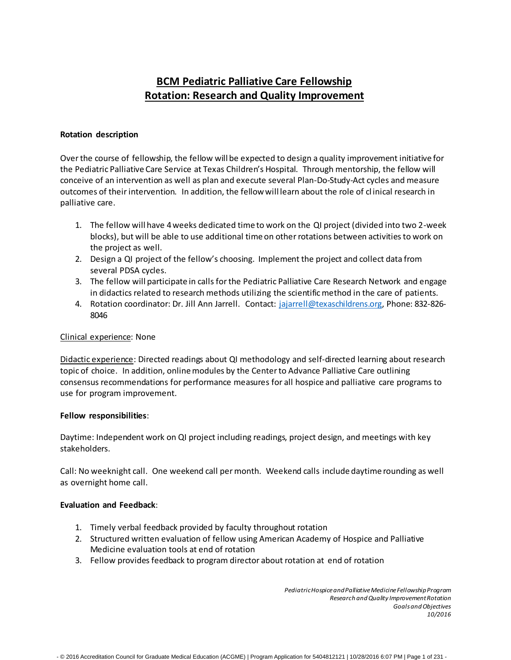# **BCM Pediatric Palliative Care Fellowship Rotation: Research and Quality Improvement**

### **Rotation description**

Overthe course of fellowship, the fellow will be expected to design a quality improvement initiative for the Pediatric Palliative Care Service at Texas Children's Hospital. Through mentorship, the fellow will conceive of an intervention as well as plan and execute several Plan-Do-Study-Act cycles and measure outcomes of theirintervention. In addition, the fellowwill learn about the role of cl inical research in palliative care.

- 1. The fellow will have 4weeks dedicated time to work on the QI project (divided into two 2-week blocks), but will be able to use additional time on other rotations between activities to work on the project as well.
- 2. Design a QI project of the fellow's choosing. Implement the project and collect data from several PDSA cycles.
- 3. The fellow will participate in calls for the Pediatric Palliative Care Research Network and engage in didactics related to research methods utilizing the scientificmethod in the care of patients.
- 4. Rotation coordinator: Dr. Jill Ann Jarrell. Contact: [jajarrell@texaschildrens.org,](mailto:jajarrell@texaschildrens.org) Phone: 832-826-8046

## Clinical experience: None

Didactic experience: Directed readings about QI methodology and self-directed learning about research topic of choice. In addition, onlinemodules by the Centerto Advance Palliative Care outlining consensus recommendations for performance measures for all hospice and palliative care programs to use for program improvement.

#### **Fellow responsibilities**:

Daytime: Independent work on QI project including readings, project design, and meetings with key stakeholders.

Call: No weeknight call. One weekend call permonth. Weekend calls include daytime rounding as well as overnight home call.

#### **Evaluation and Feedback**:

- 1. Timely verbal feedback provided by faculty throughout rotation
- 2. Structured written evaluation of fellow using American Academy of Hospice and Palliative Medicine evaluation tools at end of rotation
- 3. Fellow provides feedback to program director about rotation at end of rotation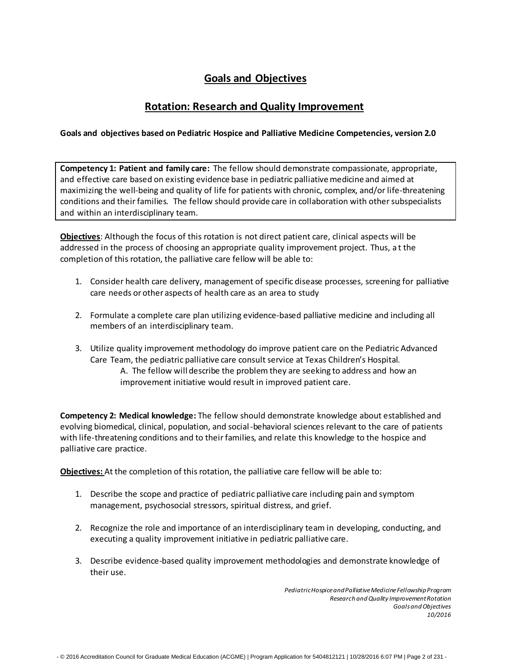## **Goals and Objectives**

## **Rotation: Research and Quality Improvement**

## **Goals and objectives based on Pediatric Hospice and Palliative Medicine Competencies, version 2.0**

**Competency 1: Patient and family care:** The fellow should demonstrate compassionate, appropriate, and effective care based on existing evidence base in pediatric palliativemedicine and aimed at maximizing the well-being and quality of life for patients with chronic, complex, and/or life-threatening conditions and their families. The fellow should provide care in collaboration with other subspecialists and within an interdisciplinary team.

**Objectives**: Although the focus of this rotation is not direct patient care, clinical aspects will be addressed in the process of choosing an appropriate quality improvement project. Thus, a t the completion of this rotation, the palliative care fellow will be able to:

- 1. Consider health care delivery, management of specific disease processes, screening for palliative care needs or other aspects of health care as an area to study
- 2. Formulate a complete care plan utilizing evidence-based palliative medicine and including all members of an interdisciplinary team.
- 3. Utilize quality improvement methodology do improve patient care on the Pediatric Advanced Care Team, the pediatric palliative care consult service at Texas Children's Hospital. A. The fellow will describe the problem they are seeking to address and how an improvement initiative would result in improved patient care.

**Competency 2: Medical knowledge:** The fellow should demonstrate knowledge about established and evolving biomedical, clinical, population, and social-behavioral sciences relevant to the care of patients with life-threatening conditions and to their families, and relate this knowledge to the hospice and palliative care practice.

**Objectives:** At the completion of thisrotation, the palliative care fellow will be able to:

- 1. Describe the scope and practice of pediatric palliative care including pain and symptom management, psychosocial stressors, spiritual distress, and grief.
- 2. Recognize the role and importance of an interdisciplinary team in developing, conducting, and executing a quality improvement initiative in pediatric palliative care.
- 3. Describe evidence-based quality improvement methodologies and demonstrate knowledge of their use.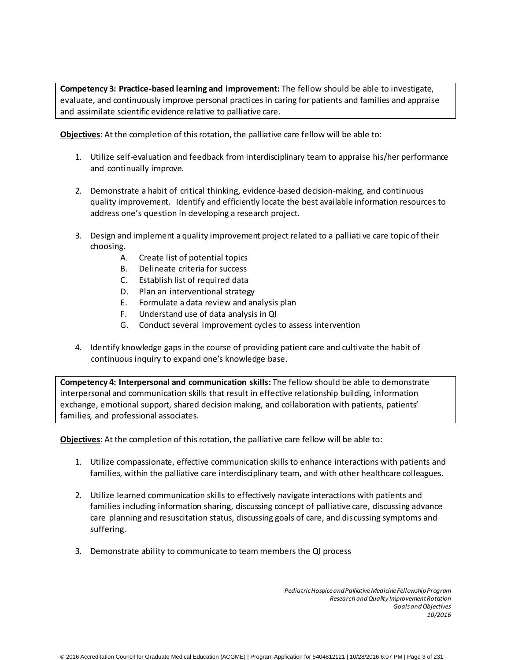**Competency 3: Practice-based learning and improvement:** The fellow should be able to investigate, evaluate, and continuously improve personal practices in caring for patients and families and appraise and assimilate scientific evidence relative to palliative care.

**Objectives**: At the completion of thisrotation, the palliative care fellow will be able to:

- 1. Utilize self-evaluation and feedback from interdisciplinary team to appraise his/her performance and continually improve.
- 2. Demonstrate a habit of critical thinking, evidence-based decision-making, and continuous quality improvement. Identify and efficiently locate the best available information resources to address one's question in developing a research project.
- 3. Design and implement a quality improvement project related to a palliati ve care topic of their choosing.
	- A. Create list of potential topics
	- B. Delineate criteria for success
	- C. Establish list of required data
	- D. Plan an interventional strategy
	- E. Formulate a data review and analysis plan
	- F. Understand use of data analysis in QI
	- G. Conduct several improvement cycles to assess intervention
- 4. Identify knowledge gaps in the course of providing patient care and cultivate the habit of continuous inquiry to expand one's knowledge base.

**Competency 4: Interpersonal and communication skills:** The fellow should be able to demonstrate interpersonal and communication skills that result in effective relationship building, information exchange, emotional support, shared decision making, and collaboration with patients, patients' families, and professional associates.

**Objectives**: At the completion of thisrotation, the palliative care fellow will be able to:

- 1. Utilize compassionate, effective communication skills to enhance interactions with patients and families, within the palliative care interdisciplinary team, and with other healthcare colleagues.
- 2. Utilize learned communication skills to effectively navigate interactions with patients and families including information sharing, discussing concept of palliative care, discussing advance care planning and resuscitation status, discussing goals of care, and discussing symptoms and suffering.
- 3. Demonstrate ability to communicate to team members the QI process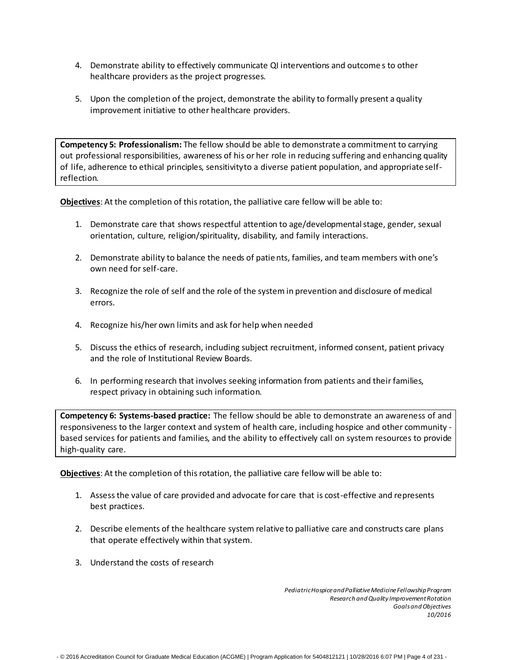- 4. Demonstrate ability to effectively communicate QI interventions and outcome s to other healthcare providers as the project progresses.
- 5. Upon the completion of the project, demonstrate the ability to formally present a quality improvement initiative to other healthcare providers.

**Competency 5: Professionalism:** The fellow should be able to demonstrate a commitment to carrying out professional responsibilities, awareness of his or her role in reducing suffering and enhancing quality of life, adherence to ethical principles, sensitivityto a diverse patient population, and appropriate selfreflection.

**Objectives**: At the completion of thisrotation, the palliative care fellow will be able to:

- 1. Demonstrate care that shows respectful attention to age/developmentalstage, gender, sexual orientation, culture, religion/spirituality, disability, and family interactions.
- 2. Demonstrate ability to balance the needs of patients, families, and team members with one's own need forself-care.
- 3. Recognize the role of self and the role of the system in prevention and disclosure of medical errors.
- 4. Recognize his/her own limits and ask for help when needed
- 5. Discuss the ethics of research, including subject recruitment, informed consent, patient privacy and the role of Institutional Review Boards.
- 6. In performing research that involves seeking information from patients and their families, respect privacy in obtaining such information.

**Competency 6: Systems-based practice:** The fellow should be able to demonstrate an awareness of and responsiveness to the larger context and system of health care, including hospice and other community based services for patients and families, and the ability to effectively call on system resources to provide high-quality care.

**Objectives**: At the completion of thisrotation, the palliative care fellow will be able to:

- 1. Assessthe value of care provided and advocate for care that is cost-effective and represents best practices.
- 2. Describe elements of the healthcare system relative to palliative care and constructs care plans that operate effectively within that system.
- 3. Understand the costs of research